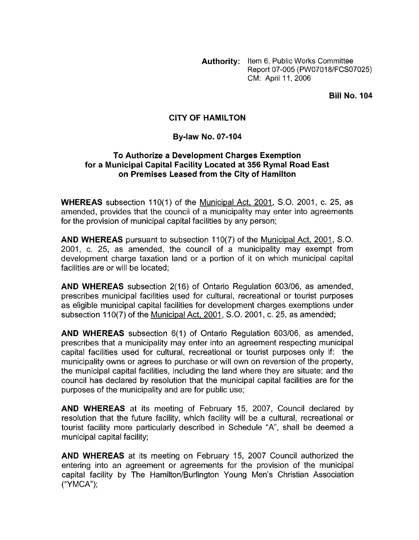**Authority:** Item 6, Public Works Committee Report 07-005 (PW07018/FCS07025) CM: April 11, 2006

**Bill No. 104** 

### **CITY OF HAMILTON**

#### **By-law No. 07-104**

#### **To Authorize a Development Charges Exemption for a Municipal Capital Facility Located at 356 Rymal Road East on Premises Leased from the City of Hamilton**

**WHEREAS** subsection 110(1) of the Municipal Act, 2001, S.O. 2001, c. 25, as amended, provides that the council of a municipality may enter into agreements for the provision of municipal capital facilities by any person;

**AND WHEREAS** pursuant to subsection 110(7) of the Municipal Act, 2001, S.O. 2001, c. 25, as amended, the council of a municipality may exempt from development charge taxation land or a portion of it on which municipal capital facilities are or will be located;

**AND WHEREAS** subsection 2(16) of Ontario Regulation 603/06, as amended, prescribes municipal facilities used for cultural, recreational or tourist purposes as eligible municipal capital facilities for development charges exemptions under subsection 110(7) of the Municipal Act, 2001, S.O. 2001, c. 25, as amended;

**AND WHEREAS** subsection 6(1) of Ontario Regulation 603/06, as amended, prescribes that a municipality may enter into an agreement respecting municipal capital facilities used for cultural, recreational or tourist purposes only if: the municipality owns or agrees to purchase or will own on reversion of the property, the municipal capital facilities, including the land where they are situate; and the council has declared by resolution that the municipal capital facilities are for the purposes of the municipality and are for public use;

**AND WHEREAS** at its meeting of February 15, 2007, Council declared by resolution that the future facility, which facility will be a cuttural, recreational or tourist facility more particularly described in Schedule "A", shall be deemed a municipal capital facility;

**AND WHEREAS** at its meeting on February 15, 2007 Council authorized the entering into an agreement or agreements for the provision of the municipal capital facility by The Hamilton/Burlington Young Men's Christian Association ("YMCA");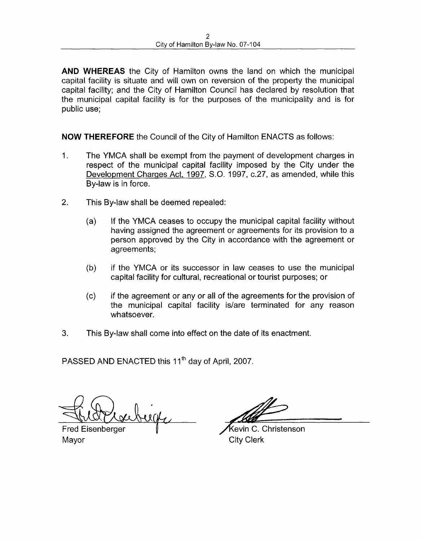**AND WHEREAS** the City of Hamilton owns the land on which the municipal capital facility is situate and will own on reversion of the property the municipal capital facility; and the City of Hamilton Council has declared by resolution that the municipal capital facility is for the purposes of the municipality and is for public use;

**NOW THEREFORE** the Council of the City of Hamilton ENACTS as follows:

- 1. The YMCA shall be exempt from the payment of development charges in respect of the municipal capital facility imposed by the City under the Development Charges Act, 1997, S.O. 1997, c.27, as amended, while this By-law is in force.
- 2. This By-law shall be deemed repealed:
	- (a) If the YMCA ceases to occupy the municipal capital facility without having assigned the agreement or agreements for its provision to a person approved by the City in accordance with the agreement or agreements;
	- (b) if the YMCA or its successor in law ceases to use the municipal capital facility for cultural, recreational or tourist purposes; or
	- (c) if the agreement or any or all of the agreements for the provision of the municipal capital facility is/are terminated for any reason whatsoever.
- **3.** This By-law shall come into effect on the date of its enactment.

PASSED AND ENACTED this 11<sup>th</sup> day of April, 2007.

uge

Fred Eisenberger Mayor City Clerk

Kevin C. Christenson